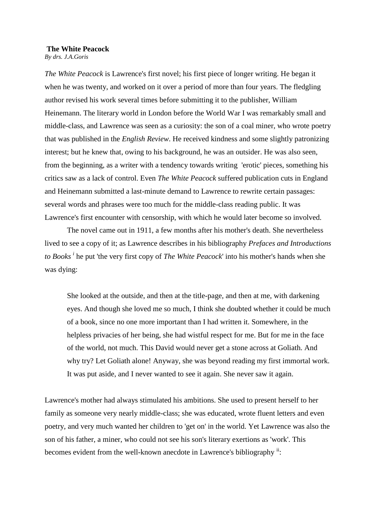## **The White Peacock**

*By drs. J.A.Goris*

*The White Peacock* is Lawrence's first novel; his first piece of longer writing. He began it when he was twenty, and worked on it over a period of more than four years. The fledgling author revised his work several times before submitting it to the publisher, William Heinemann. The literary world in London before the World War I was remarkably small and middle-class, and Lawrence was seen as a curiosity: the son of a coal miner, who wrote poetry that was published in the *English Review*. He received kindness and some slightly patronizing interest; but he knew that, owing to his background, he was an outsider. He was also seen, from the beginning, as a writer with a tendency towards writing 'erotic' pieces, something his critics saw as a lack of control. Even *The White Peacock* suffered publication cuts in England and Heinemann submitted a last-minute demand to Lawrence to rewrite certain passages: several words and phrases were too much for the middle-class reading public. It was Lawrence's first encounter with censorship, with which he would later become so involved.

The novel came out in 1911, a few months after his mother's death. She nevertheless lived to see a copy of it; as Lawrence describes in his bibliography *Prefaces and Introductions to Books <sup>i</sup>* he put 'the very first copy of *The White Peacock*' into his mother's hands when she was dying:

She looked at the outside, and then at the title-page, and then at me, with darkening eyes. And though she loved me so much, I think she doubted whether it could be much of a book, since no one more important than I had written it. Somewhere, in the helpless privacies of her being, she had wistful respect for me. But for me in the face of the world, not much. This David would never get a stone across at Goliath. And why try? Let Goliath alone! Anyway, she was beyond reading my first immortal work. It was put aside, and I never wanted to see it again. She never saw it again.

Lawrence's mother had always stimulated his ambitions. She used to present herself to her family as someone very nearly middle-class; she was educated, wrote fluent letters and even poetry, and very much wanted her children to 'get on' in the world. Yet Lawrence was also the son of his father, a miner, who could not see his son's literary exertions as 'work'. This becomes evident from the well-known anecdote in Lawrence's bibliography <sup>ii</sup>: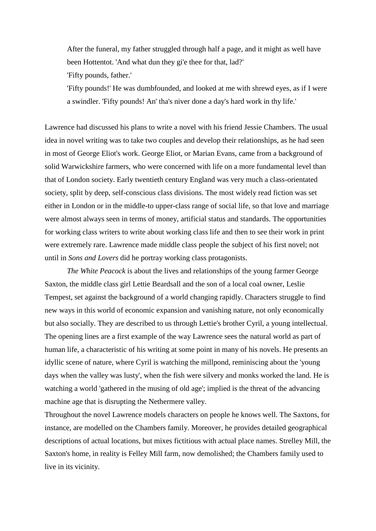After the funeral, my father struggled through half a page, and it might as well have been Hottentot. 'And what dun they gi'e thee for that, lad?' 'Fifty pounds, father.'

'Fifty pounds!' He was dumbfounded, and looked at me with shrewd eyes, as if I were a swindler. 'Fifty pounds! An' tha's niver done a day's hard work in thy life.'

Lawrence had discussed his plans to write a novel with his friend Jessie Chambers. The usual idea in novel writing was to take two couples and develop their relationships, as he had seen in most of George Eliot's work. George Eliot, or Marian Evans, came from a background of solid Warwickshire farmers, who were concerned with life on a more fundamental level than that of London society. Early twentieth century England was very much a class-orientated society, split by deep, self-conscious class divisions. The most widely read fiction was set either in London or in the middle-to upper-class range of social life, so that love and marriage were almost always seen in terms of money, artificial status and standards. The opportunities for working class writers to write about working class life and then to see their work in print were extremely rare. Lawrence made middle class people the subject of his first novel; not until in *Sons and Lovers* did he portray working class protagonists.

*The White Peacock* is about the lives and relationships of the young farmer George Saxton, the middle class girl Lettie Beardsall and the son of a local coal owner, Leslie Tempest, set against the background of a world changing rapidly. Characters struggle to find new ways in this world of economic expansion and vanishing nature, not only economically but also socially. They are described to us through Lettie's brother Cyril, a young intellectual. The opening lines are a first example of the way Lawrence sees the natural world as part of human life, a characteristic of his writing at some point in many of his novels. He presents an idyllic scene of nature, where Cyril is watching the millpond, reminiscing about the 'young days when the valley was lusty', when the fish were silvery and monks worked the land. He is watching a world 'gathered in the musing of old age'; implied is the threat of the advancing machine age that is disrupting the Nethermere valley.

Throughout the novel Lawrence models characters on people he knows well. The Saxtons, for instance, are modelled on the Chambers family. Moreover, he provides detailed geographical descriptions of actual locations, but mixes fictitious with actual place names. Strelley Mill, the Saxton's home, in reality is Felley Mill farm, now demolished; the Chambers family used to live in its vicinity.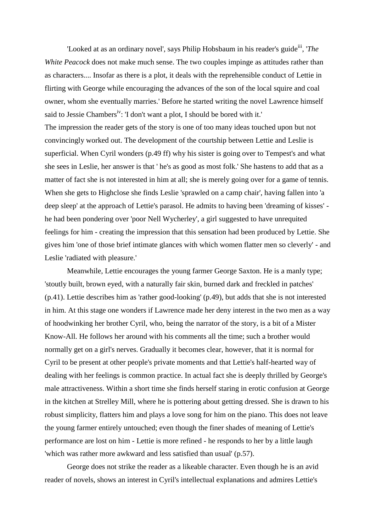'Looked at as an ordinary novel', says Philip Hobsbaum in his reader's guide<sup>iii</sup>, '*The White Peacock* does not make much sense. The two couples impinge as attitudes rather than as characters.... Insofar as there is a plot, it deals with the reprehensible conduct of Lettie in flirting with George while encouraging the advances of the son of the local squire and coal owner, whom she eventually marries.' Before he started writing the novel Lawrence himself said to Jessie Chambers<sup>iv</sup>: 'I don't want a plot, I should be bored with it.'

The impression the reader gets of the story is one of too many ideas touched upon but not convincingly worked out. The development of the courtship between Lettie and Leslie is superficial. When Cyril wonders (p.49 ff) why his sister is going over to Tempest's and what she sees in Leslie, her answer is that ' he's as good as most folk.' She hastens to add that as a matter of fact she is not interested in him at all; she is merely going over for a game of tennis. When she gets to Highclose she finds Leslie 'sprawled on a camp chair', having fallen into 'a deep sleep' at the approach of Lettie's parasol. He admits to having been 'dreaming of kisses' he had been pondering over 'poor Nell Wycherley', a girl suggested to have unrequited feelings for him - creating the impression that this sensation had been produced by Lettie. She gives him 'one of those brief intimate glances with which women flatter men so cleverly' - and Leslie 'radiated with pleasure.'

Meanwhile, Lettie encourages the young farmer George Saxton. He is a manly type; 'stoutly built, brown eyed, with a naturally fair skin, burned dark and freckled in patches' (p.41). Lettie describes him as 'rather good-looking' (p.49), but adds that she is not interested in him. At this stage one wonders if Lawrence made her deny interest in the two men as a way of hoodwinking her brother Cyril, who, being the narrator of the story, is a bit of a Mister Know-All. He follows her around with his comments all the time; such a brother would normally get on a girl's nerves. Gradually it becomes clear, however, that it is normal for Cyril to be present at other people's private moments and that Lettie's half-hearted way of dealing with her feelings is common practice. In actual fact she is deeply thrilled by George's male attractiveness. Within a short time she finds herself staring in erotic confusion at George in the kitchen at Strelley Mill, where he is pottering about getting dressed. She is drawn to his robust simplicity, flatters him and plays a love song for him on the piano. This does not leave the young farmer entirely untouched; even though the finer shades of meaning of Lettie's performance are lost on him - Lettie is more refined - he responds to her by a little laugh 'which was rather more awkward and less satisfied than usual' (p.57).

George does not strike the reader as a likeable character. Even though he is an avid reader of novels, shows an interest in Cyril's intellectual explanations and admires Lettie's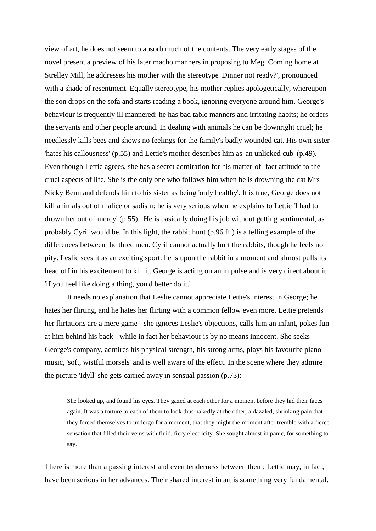view of art, he does not seem to absorb much of the contents. The very early stages of the novel present a preview of his later macho manners in proposing to Meg. Coming home at Strelley Mill, he addresses his mother with the stereotype 'Dinner not ready?', pronounced with a shade of resentment. Equally stereotype, his mother replies apologetically, whereupon the son drops on the sofa and starts reading a book, ignoring everyone around him. George's behaviour is frequently ill mannered: he has bad table manners and irritating habits; he orders the servants and other people around. In dealing with animals he can be downright cruel; he needlessly kills bees and shows no feelings for the family's badly wounded cat. His own sister 'hates his callousness' (p.55) and Lettie's mother describes him as 'an unlicked cub' (p.49). Even though Lettie agrees, she has a secret admiration for his matter-of -fact attitude to the cruel aspects of life. She is the only one who follows him when he is drowning the cat Mrs Nicky Benn and defends him to his sister as being 'only healthy'. It is true, George does not kill animals out of malice or sadism: he is very serious when he explains to Lettie 'I had to drown her out of mercy' (p.55). He is basically doing his job without getting sentimental, as probably Cyril would be. In this light, the rabbit hunt (p.96 ff.) is a telling example of the differences between the three men. Cyril cannot actually hurt the rabbits, though he feels no pity. Leslie sees it as an exciting sport: he is upon the rabbit in a moment and almost pulls its head off in his excitement to kill it. George is acting on an impulse and is very direct about it: 'if you feel like doing a thing, you'd better do it.'

It needs no explanation that Leslie cannot appreciate Lettie's interest in George; he hates her flirting, and he hates her flirting with a common fellow even more. Lettie pretends her flirtations are a mere game - she ignores Leslie's objections, calls him an infant, pokes fun at him behind his back - while in fact her behaviour is by no means innocent. She seeks George's company, admires his physical strength, his strong arms, plays his favourite piano music, 'soft, wistful morsels' and is well aware of the effect. In the scene where they admire the picture 'Idyll' she gets carried away in sensual passion (p.73):

She looked up, and found his eyes. They gazed at each other for a moment before they hid their faces again. It was a torture to each of them to look thus nakedly at the other, a dazzled, shrinking pain that they forced themselves to undergo for a moment, that they might the moment after tremble with a fierce sensation that filled their veins with fluid, fiery electricity. She sought almost in panic, for something to say.

There is more than a passing interest and even tenderness between them; Lettie may, in fact, have been serious in her advances. Their shared interest in art is something very fundamental.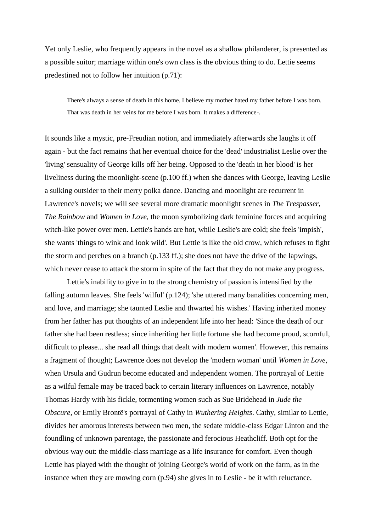Yet only Leslie, who frequently appears in the novel as a shallow philanderer, is presented as a possible suitor; marriage within one's own class is the obvious thing to do. Lettie seems predestined not to follow her intuition (p.71):

There's always a sense of death in this home. I believe my mother hated my father before I was born. That was death in her veins for me before I was born. It makes a difference-.

It sounds like a mystic, pre-Freudian notion, and immediately afterwards she laughs it off again - but the fact remains that her eventual choice for the 'dead' industrialist Leslie over the 'living' sensuality of George kills off her being. Opposed to the 'death in her blood' is her liveliness during the moonlight-scene (p.100 ff.) when she dances with George, leaving Leslie a sulking outsider to their merry polka dance. Dancing and moonlight are recurrent in Lawrence's novels; we will see several more dramatic moonlight scenes in *The Trespasser, The Rainbow* and *Women in Love,* the moon symbolizing dark feminine forces and acquiring witch-like power over men. Lettie's hands are hot, while Leslie's are cold; she feels 'impish', she wants 'things to wink and look wild'. But Lettie is like the old crow, which refuses to fight the storm and perches on a branch (p.133 ff.); she does not have the drive of the lapwings, which never cease to attack the storm in spite of the fact that they do not make any progress.

Lettie's inability to give in to the strong chemistry of passion is intensified by the falling autumn leaves. She feels 'wilful' (p.124); 'she uttered many banalities concerning men, and love, and marriage; she taunted Leslie and thwarted his wishes.' Having inherited money from her father has put thoughts of an independent life into her head: 'Since the death of our father she had been restless; since inheriting her little fortune she had become proud, scornful, difficult to please... she read all things that dealt with modern women'. However, this remains a fragment of thought; Lawrence does not develop the 'modern woman' until *Women in Love*, when Ursula and Gudrun become educated and independent women. The portrayal of Lettie as a wilful female may be traced back to certain literary influences on Lawrence, notably Thomas Hardy with his fickle, tormenting women such as Sue Bridehead in *Jude the Obscure,* or Emily Brontë's portrayal of Cathy in *Wuthering Heights*. Cathy, similar to Lettie, divides her amorous interests between two men, the sedate middle-class Edgar Linton and the foundling of unknown parentage, the passionate and ferocious Heathcliff. Both opt for the obvious way out: the middle-class marriage as a life insurance for comfort. Even though Lettie has played with the thought of joining George's world of work on the farm, as in the instance when they are mowing corn (p.94) she gives in to Leslie - be it with reluctance.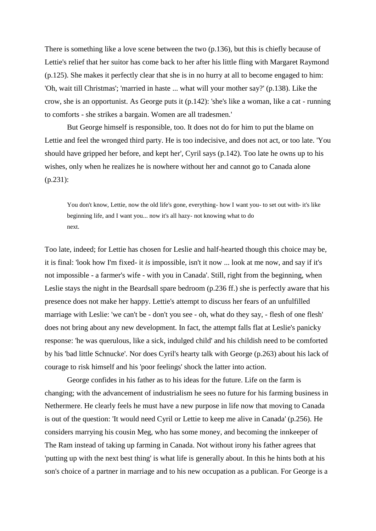There is something like a love scene between the two (p.136), but this is chiefly because of Lettie's relief that her suitor has come back to her after his little fling with Margaret Raymond (p.125). She makes it perfectly clear that she is in no hurry at all to become engaged to him: 'Oh, wait till Christmas'; 'married in haste ... what will your mother say?' (p.138). Like the crow, she is an opportunist. As George puts it (p.142): 'she's like a woman, like a cat - running to comforts - she strikes a bargain. Women are all tradesmen.'

But George himself is responsible, too. It does not do for him to put the blame on Lettie and feel the wronged third party. He is too indecisive, and does not act, or too late. 'You should have gripped her before, and kept her', Cyril says (p.142). Too late he owns up to his wishes, only when he realizes he is nowhere without her and cannot go to Canada alone (p.231):

You don't know, Lettie, now the old life's gone, everything- how I want you- to set out with- it's like beginning life, and I want you... now it's all hazy- not knowing what to do next.

Too late, indeed; for Lettie has chosen for Leslie and half-hearted though this choice may be, it is final: 'look how I'm fixed- it *is* impossible, isn't it now ... look at me now, and say if it's not impossible - a farmer's wife - with you in Canada'. Still, right from the beginning, when Leslie stays the night in the Beardsall spare bedroom (p.236 ff.) she is perfectly aware that his presence does not make her happy. Lettie's attempt to discuss her fears of an unfulfilled marriage with Leslie: 'we can't be - don't you see - oh, what do they say, - flesh of one flesh' does not bring about any new development. In fact, the attempt falls flat at Leslie's panicky response: 'he was querulous, like a sick, indulged child' and his childish need to be comforted by his 'bad little Schnucke'. Nor does Cyril's hearty talk with George (p.263) about his lack of courage to risk himself and his 'poor feelings' shock the latter into action.

George confides in his father as to his ideas for the future. Life on the farm is changing; with the advancement of industrialism he sees no future for his farming business in Nethermere. He clearly feels he must have a new purpose in life now that moving to Canada is out of the question: 'It would need Cyril or Lettie to keep me alive in Canada' (p.256). He considers marrying his cousin Meg, who has some money, and becoming the innkeeper of The Ram instead of taking up farming in Canada. Not without irony his father agrees that 'putting up with the next best thing' is what life is generally about. In this he hints both at his son's choice of a partner in marriage and to his new occupation as a publican. For George is a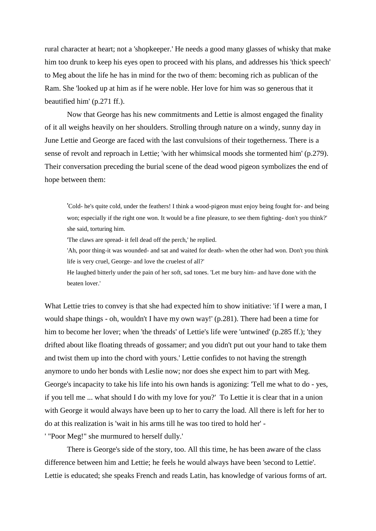rural character at heart; not a 'shopkeeper.' He needs a good many glasses of whisky that make him too drunk to keep his eyes open to proceed with his plans, and addresses his 'thick speech' to Meg about the life he has in mind for the two of them: becoming rich as publican of the Ram. She 'looked up at him as if he were noble. Her love for him was so generous that it beautified him' (p.271 ff.).

Now that George has his new commitments and Lettie is almost engaged the finality of it all weighs heavily on her shoulders. Strolling through nature on a windy, sunny day in June Lettie and George are faced with the last convulsions of their togetherness. There is a sense of revolt and reproach in Lettie; 'with her whimsical moods she tormented him' (p.279). Their conversation preceding the burial scene of the dead wood pigeon symbolizes the end of hope between them:

'Cold- he's quite cold, under the feathers! I think a wood-pigeon must enjoy being fought for- and being won; especially if the right one won. It would be a fine pleasure, to see them fighting- don't you think?' she said, torturing him.

'The claws are spread- it fell dead off the perch,' he replied.

'Ah, poor thing-it was wounded- and sat and waited for death- when the other had won. Don't you think life is very cruel, George- and love the cruelest of all?'

He laughed bitterly under the pain of her soft, sad tones. 'Let me bury him- and have done with the beaten lover.'

What Lettie tries to convey is that she had expected him to show initiative: 'if I were a man, I would shape things - oh, wouldn't I have my own way!' (p.281). There had been a time for him to become her lover; when 'the threads' of Lettie's life were 'untwined' (p.285 ff.); 'they drifted about like floating threads of gossamer; and you didn't put out your hand to take them and twist them up into the chord with yours.' Lettie confides to not having the strength anymore to undo her bonds with Leslie now; nor does she expect him to part with Meg. George's incapacity to take his life into his own hands is agonizing: 'Tell me what to do - yes, if you tell me ... what should I do with my love for you?' To Lettie it is clear that in a union with George it would always have been up to her to carry the load. All there is left for her to do at this realization is 'wait in his arms till he was too tired to hold her' - ' "Poor Meg!" she murmured to herself dully.'

There is George's side of the story, too. All this time, he has been aware of the class difference between him and Lettie; he feels he would always have been 'second to Lettie'. Lettie is educated; she speaks French and reads Latin, has knowledge of various forms of art.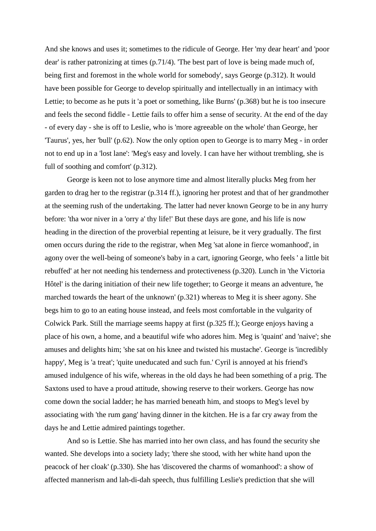And she knows and uses it; sometimes to the ridicule of George. Her 'my dear heart' and 'poor dear' is rather patronizing at times (p.71/4). 'The best part of love is being made much of, being first and foremost in the whole world for somebody', says George (p.312). It would have been possible for George to develop spiritually and intellectually in an intimacy with Lettie; to become as he puts it 'a poet or something, like Burns' (p.368) but he is too insecure and feels the second fiddle - Lettie fails to offer him a sense of security. At the end of the day - of every day - she is off to Leslie, who is 'more agreeable on the whole' than George, her 'Taurus', yes, her 'bull' (p.62). Now the only option open to George is to marry Meg - in order not to end up in a 'lost lane': 'Meg's easy and lovely. I can have her without trembling, she is full of soothing and comfort' (p.312).

George is keen not to lose anymore time and almost literally plucks Meg from her garden to drag her to the registrar (p.314 ff.), ignoring her protest and that of her grandmother at the seeming rush of the undertaking. The latter had never known George to be in any hurry before: 'tha wor niver in a 'orry a' thy life!' But these days are gone, and his life is now heading in the direction of the proverbial repenting at leisure, be it very gradually. The first omen occurs during the ride to the registrar, when Meg 'sat alone in fierce womanhood', in agony over the well-being of someone's baby in a cart, ignoring George, who feels ' a little bit rebuffed' at her not needing his tenderness and protectiveness (p.320). Lunch in 'the Victoria Hôtel' is the daring initiation of their new life together; to George it means an adventure, 'he marched towards the heart of the unknown' (p.321) whereas to Meg it is sheer agony. She begs him to go to an eating house instead, and feels most comfortable in the vulgarity of Colwick Park. Still the marriage seems happy at first (p.325 ff.); George enjoys having a place of his own, a home, and a beautiful wife who adores him. Meg is 'quaint' and 'naive'; she amuses and delights him; 'she sat on his knee and twisted his mustache'. George is 'incredibly happy', Meg is 'a treat'; 'quite uneducated and such fun.' Cyril is annoyed at his friend's amused indulgence of his wife, whereas in the old days he had been something of a prig. The Saxtons used to have a proud attitude, showing reserve to their workers. George has now come down the social ladder; he has married beneath him, and stoops to Meg's level by associating with 'the rum gang' having dinner in the kitchen. He is a far cry away from the days he and Lettie admired paintings together.

And so is Lettie. She has married into her own class, and has found the security she wanted. She develops into a society lady; 'there she stood, with her white hand upon the peacock of her cloak' (p.330). She has 'discovered the charms of womanhood': a show of affected mannerism and lah-di-dah speech, thus fulfilling Leslie's prediction that she will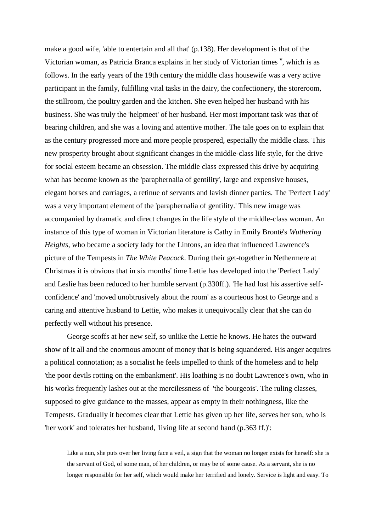make a good wife, 'able to entertain and all that' (p.138). Her development is that of the Victorian woman, as Patricia Branca explains in her study of Victorian times  $\cdot$ , which is as follows. In the early years of the 19th century the middle class housewife was a very active participant in the family, fulfilling vital tasks in the dairy, the confectionery, the storeroom, the stillroom, the poultry garden and the kitchen. She even helped her husband with his business. She was truly the 'helpmeet' of her husband. Her most important task was that of bearing children, and she was a loving and attentive mother. The tale goes on to explain that as the century progressed more and more people prospered, especially the middle class. This new prosperity brought about significant changes in the middle-class life style, for the drive for social esteem became an obsession. The middle class expressed this drive by acquiring what has become known as the 'paraphernalia of gentility', large and expensive houses, elegant horses and carriages, a retinue of servants and lavish dinner parties. The 'Perfect Lady' was a very important element of the 'paraphernalia of gentility.' This new image was accompanied by dramatic and direct changes in the life style of the middle-class woman. An instance of this type of woman in Victorian literature is Cathy in Emily Brontë's *Wuthering Heights*, who became a society lady for the Lintons, an idea that influenced Lawrence's picture of the Tempests in *The White Peacock*. During their get-together in Nethermere at Christmas it is obvious that in six months' time Lettie has developed into the 'Perfect Lady' and Leslie has been reduced to her humble servant (p.330ff.). 'He had lost his assertive selfconfidence' and 'moved unobtrusively about the room' as a courteous host to George and a caring and attentive husband to Lettie, who makes it unequivocally clear that she can do perfectly well without his presence.

George scoffs at her new self, so unlike the Lettie he knows. He hates the outward show of it all and the enormous amount of money that is being squandered. His anger acquires a political connotation; as a socialist he feels impelled to think of the homeless and to help 'the poor devils rotting on the embankment'. His loathing is no doubt Lawrence's own, who in his works frequently lashes out at the mercilessness of 'the bourgeois'. The ruling classes, supposed to give guidance to the masses, appear as empty in their nothingness, like the Tempests. Gradually it becomes clear that Lettie has given up her life, serves her son, who is 'her work' and tolerates her husband, 'living life at second hand (p.363 ff.)':

Like a nun, she puts over her living face a veil, a sign that the woman no longer exists for herself: she is the servant of God, of some man, of her children, or may be of some cause. As a servant, she is no longer responsible for her self, which would make her terrified and lonely. Service is light and easy. To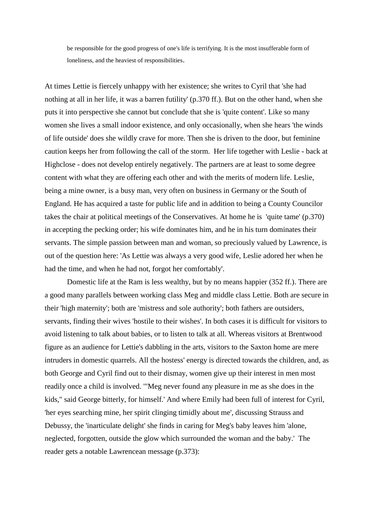be responsible for the good progress of one's life is terrifying. It is the most insufferable form of loneliness, and the heaviest of responsibilities.

At times Lettie is fiercely unhappy with her existence; she writes to Cyril that 'she had nothing at all in her life, it was a barren futility' (p.370 ff.). But on the other hand, when she puts it into perspective she cannot but conclude that she is 'quite content'. Like so many women she lives a small indoor existence, and only occasionally, when she hears 'the winds of life outside' does she wildly crave for more. Then she is driven to the door, but feminine caution keeps her from following the call of the storm. Her life together with Leslie - back at Highclose - does not develop entirely negatively. The partners are at least to some degree content with what they are offering each other and with the merits of modern life. Leslie, being a mine owner, is a busy man, very often on business in Germany or the South of England. He has acquired a taste for public life and in addition to being a County Councilor takes the chair at political meetings of the Conservatives. At home he is 'quite tame' (p.370) in accepting the pecking order; his wife dominates him, and he in his turn dominates their servants. The simple passion between man and woman, so preciously valued by Lawrence, is out of the question here: 'As Lettie was always a very good wife, Leslie adored her when he had the time, and when he had not, forgot her comfortably'.

Domestic life at the Ram is less wealthy, but by no means happier (352 ff.). There are a good many parallels between working class Meg and middle class Lettie. Both are secure in their 'high maternity'; both are 'mistress and sole authority'; both fathers are outsiders, servants, finding their wives 'hostile to their wishes'. In both cases it is difficult for visitors to avoid listening to talk about babies, or to listen to talk at all. Whereas visitors at Brentwood figure as an audience for Lettie's dabbling in the arts, visitors to the Saxton home are mere intruders in domestic quarrels. All the hostess' energy is directed towards the children, and, as both George and Cyril find out to their dismay, women give up their interest in men most readily once a child is involved. '"Meg never found any pleasure in me as she does in the kids," said George bitterly, for himself.' And where Emily had been full of interest for Cyril, 'her eyes searching mine, her spirit clinging timidly about me', discussing Strauss and Debussy, the 'inarticulate delight' she finds in caring for Meg's baby leaves him 'alone, neglected, forgotten, outside the glow which surrounded the woman and the baby.' The reader gets a notable Lawrencean message (p.373):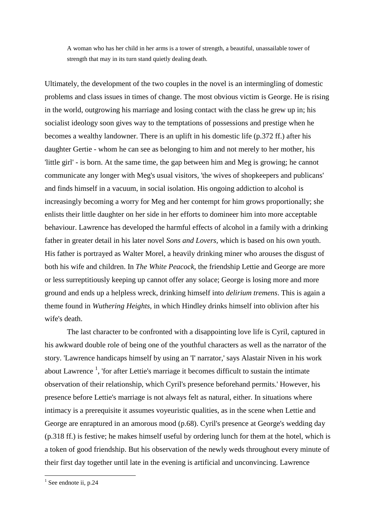A woman who has her child in her arms is a tower of strength, a beautiful, unassailable tower of strength that may in its turn stand quietly dealing death.

Ultimately, the development of the two couples in the novel is an intermingling of domestic problems and class issues in times of change. The most obvious victim is George. He is rising in the world, outgrowing his marriage and losing contact with the class he grew up in; his socialist ideology soon gives way to the temptations of possessions and prestige when he becomes a wealthy landowner. There is an uplift in his domestic life (p.372 ff.) after his daughter Gertie - whom he can see as belonging to him and not merely to her mother, his 'little girl' - is born. At the same time, the gap between him and Meg is growing; he cannot communicate any longer with Meg's usual visitors, 'the wives of shopkeepers and publicans' and finds himself in a vacuum, in social isolation. His ongoing addiction to alcohol is increasingly becoming a worry for Meg and her contempt for him grows proportionally; she enlists their little daughter on her side in her efforts to domineer him into more acceptable behaviour. Lawrence has developed the harmful effects of alcohol in a family with a drinking father in greater detail in his later novel *Sons and Lovers,* which is based on his own youth. His father is portrayed as Walter Morel, a heavily drinking miner who arouses the disgust of both his wife and children. In *The White Peacock,* the friendship Lettie and George are more or less surreptitiously keeping up cannot offer any solace; George is losing more and more ground and ends up a helpless wreck, drinking himself into *delirium tremens*. This is again a theme found in *Wuthering Heights,* in which Hindley drinks himself into oblivion after his wife's death.

The last character to be confronted with a disappointing love life is Cyril, captured in his awkward double role of being one of the youthful characters as well as the narrator of the story. 'Lawrence handicaps himself by using an 'I' narrator,' says Alastair Niven in his work about Lawrence<sup>1</sup>, 'for after Lettie's marriage it becomes difficult to sustain the intimate observation of their relationship, which Cyril's presence beforehand permits.' However, his presence before Lettie's marriage is not always felt as natural, either. In situations where intimacy is a prerequisite it assumes voyeuristic qualities, as in the scene when Lettie and George are enraptured in an amorous mood (p.68). Cyril's presence at George's wedding day (p.318 ff.) is festive; he makes himself useful by ordering lunch for them at the hotel, which is a token of good friendship. But his observation of the newly weds throughout every minute of their first day together until late in the evening is artificial and unconvincing. Lawrence

1

 $<sup>1</sup>$  See endnote ii, p.24</sup>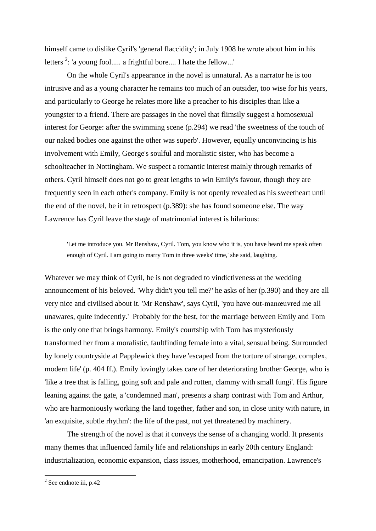himself came to dislike Cyril's 'general flaccidity'; in July 1908 he wrote about him in his letters  $2$ : 'a young fool..... a frightful bore.... I hate the fellow...'

On the whole Cyril's appearance in the novel is unnatural. As a narrator he is too intrusive and as a young character he remains too much of an outsider, too wise for his years, and particularly to George he relates more like a preacher to his disciples than like a youngster to a friend. There are passages in the novel that flimsily suggest a homosexual interest for George: after the swimming scene (p.294) we read 'the sweetness of the touch of our naked bodies one against the other was superb'. However, equally unconvincing is his involvement with Emily, George's soulful and moralistic sister, who has become a schoolteacher in Nottingham. We suspect a romantic interest mainly through remarks of others. Cyril himself does not go to great lengths to win Emily's favour, though they are frequently seen in each other's company. Emily is not openly revealed as his sweetheart until the end of the novel, be it in retrospect (p.389): she has found someone else. The way Lawrence has Cyril leave the stage of matrimonial interest is hilarious:

'Let me introduce you. Mr Renshaw, Cyril. Tom, you know who it is, you have heard me speak often enough of Cyril. I am going to marry Tom in three weeks' time,' she said, laughing.

Whatever we may think of Cyril, he is not degraded to vindictiveness at the wedding announcement of his beloved. 'Why didn't you tell me?' he asks of her (p.390) and they are all very nice and civilised about it. 'Mr Renshaw', says Cyril, 'you have out-manœuvred me all unawares, quite indecently.' Probably for the best, for the marriage between Emily and Tom is the only one that brings harmony. Emily's courtship with Tom has mysteriously transformed her from a moralistic, faultfinding female into a vital, sensual being. Surrounded by lonely countryside at Papplewick they have 'escaped from the torture of strange, complex, modern life' (p. 404 ff.). Emily lovingly takes care of her deteriorating brother George, who is 'like a tree that is falling, going soft and pale and rotten, clammy with small fungi'. His figure leaning against the gate, a 'condemned man', presents a sharp contrast with Tom and Arthur, who are harmoniously working the land together, father and son, in close unity with nature, in 'an exquisite, subtle rhythm': the life of the past, not yet threatened by machinery.

The strength of the novel is that it conveys the sense of a changing world. It presents many themes that influenced family life and relationships in early 20th century England: industrialization, economic expansion, class issues, motherhood, emancipation. Lawrence's

<sup>&</sup>lt;sup>2</sup> See endnote iii, p.42